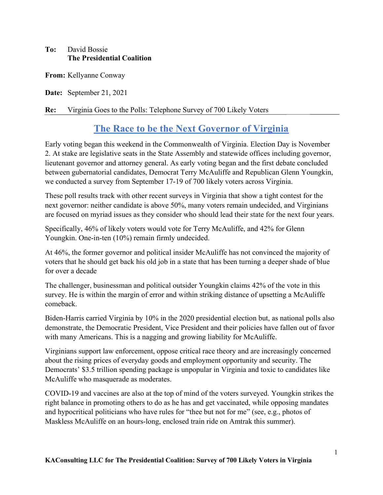### To: David Bossie The Presidential Coalition

From: Kellyanne Conway

Date: September 21, 2021

#### Re: Virginia Goes to the Polls: Telephone Survey of 700 Likely Voters

# The Race to be the Next Governor of Virginia

Early voting began this weekend in the Commonwealth of Virginia. Election Day is November 2. At stake are legislative seats in the State Assembly and statewide offices including governor, lieutenant governor and attorney general. As early voting began and the first debate concluded between gubernatorial candidates, Democrat Terry McAuliffe and Republican Glenn Youngkin, we conducted a survey from September 17-19 of 700 likely voters across Virginia.

These poll results track with other recent surveys in Virginia that show a tight contest for the next governor: neither candidate is above 50%, many voters remain undecided, and Virginians are focused on myriad issues as they consider who should lead their state for the next four years.

Specifically, 46% of likely voters would vote for Terry McAuliffe, and 42% for Glenn Youngkin. One-in-ten (10%) remain firmly undecided.

At 46%, the former governor and political insider McAuliffe has not convinced the majority of voters that he should get back his old job in a state that has been turning a deeper shade of blue for over a decade

The challenger, businessman and political outsider Youngkin claims 42% of the vote in this survey. He is within the margin of error and within striking distance of upsetting a McAuliffe comeback.

Biden-Harris carried Virginia by 10% in the 2020 presidential election but, as national polls also demonstrate, the Democratic President, Vice President and their policies have fallen out of favor with many Americans. This is a nagging and growing liability for McAuliffe.

Virginians support law enforcement, oppose critical race theory and are increasingly concerned about the rising prices of everyday goods and employment opportunity and security. The Democrats' \$3.5 trillion spending package is unpopular in Virginia and toxic to candidates like McAuliffe who masquerade as moderates.

COVID-19 and vaccines are also at the top of mind of the voters surveyed. Youngkin strikes the right balance in promoting others to do as he has and get vaccinated, while opposing mandates and hypocritical politicians who have rules for "thee but not for me" (see, e.g., photos of Maskless McAuliffe on an hours-long, enclosed train ride on Amtrak this summer).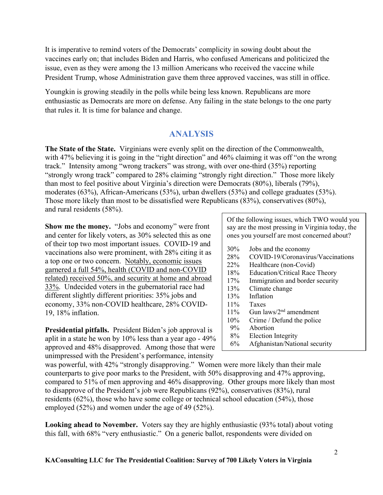It is imperative to remind voters of the Democrats' complicity in sowing doubt about the vaccines early on; that includes Biden and Harris, who confused Americans and politicized the issue, even as they were among the 13 million Americans who received the vaccine while President Trump, whose Administration gave them three approved vaccines, was still in office.

Youngkin is growing steadily in the polls while being less known. Republicans are more enthusiastic as Democrats are more on defense. Any failing in the state belongs to the one party that rules it. It is time for balance and change.

### ANALYSIS

The State of the State. Virginians were evenly split on the direction of the Commonwealth, with 47% believing it is going in the "right direction" and 46% claiming it was off "on the wrong track." Intensity among "wrong trackers" was strong, with over one-third (35%) reporting "strongly wrong track" compared to 28% claiming "strongly right direction." Those more likely than most to feel positive about Virginia's direction were Democrats (80%), liberals (79%), moderates (63%), African-Americans (53%), urban dwellers (53%) and college graduates (53%). Those more likely than most to be dissatisfied were Republicans (83%), conservatives (80%), and rural residents (58%).

Show me the money. "Jobs and economy" were front and center for likely voters, as 30% selected this as one of their top two most important issues. COVID-19 and vaccinations also were prominent, with 28% citing it as a top one or two concern. Notably, economic issues garnered a full 54%, health (COVID and non-COVID related) received 50%, and security at home and abroad 33%. Undecided voters in the gubernatorial race had different slightly different priorities: 35% jobs and economy, 33% non-COVID healthcare, 28% COVID-19, 18% inflation.

Presidential pitfalls. President Biden's job approval is aplit in a state he won by 10% less than a year ago - 49% approved and 48% disapproved. Among those that were unimpressed with the President's performance, intensity

Of the following issues, which TWO would you say are the most pressing in Virginia today, the ones you yourself are most concerned about?

- 30% Jobs and the economy
- 28% COVID-19/Coronavirus/Vaccinations
- 22% Healthcare (non-Covid)
- 18% Education/Critical Race Theory
- 17% Immigration and border security
- 13% Climate change
- 13% Inflation
- 11% Taxes
- 11% Gun laws/2nd amendment
- 10% Crime / Defund the police
- 9% Abortion
- 8% Election Integrity
- 6% Afghanistan/National security

was powerful, with 42% "strongly disapproving." Women were more likely than their male counterparts to give poor marks to the President, with 50% disapproving and 47% approving, compared to 51% of men approving and 46% disapproving. Other groups more likely than most to disapprove of the President's job were Republicans (92%), conservatives (83%), rural residents (62%), those who have some college or technical school education (54%), those employed (52%) and women under the age of 49 (52%).

Looking ahead to November. Voters say they are highly enthusiastic (93% total) about voting this fall, with 68% "very enthusiastic." On a generic ballot, respondents were divided on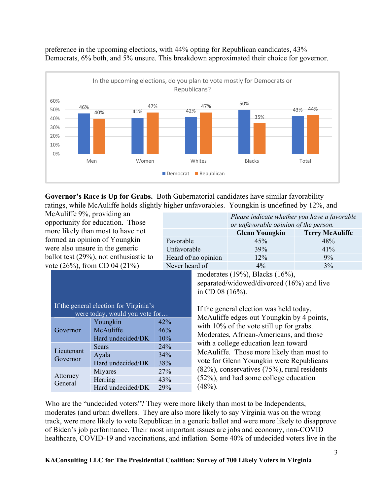

preference in the upcoming elections, with 44% opting for Republican candidates, 43% Democrats, 6% both, and 5% unsure. This breakdown approximated their choice for governor.

Governor's Race is Up for Grabs. Both Gubernatorial candidates have similar favorability ratings, while McAuliffe holds slightly higher unfavorables. Youngkin is undefined by 12%, and

McAuliffe 9%, providing an opportunity for education. Those more likely than most to have not formed an opinion of Youngkin were also unsure in the generic ballot test (29%), not enthusiastic to vote (26%), from CD 04 (21%)

|                     | Please indicate whether you have a favorable<br>or unfavorable opinion of the person. |                        |  |
|---------------------|---------------------------------------------------------------------------------------|------------------------|--|
|                     | <b>Glenn Youngkin</b>                                                                 | <b>Terry McAuliffe</b> |  |
| Favorable           | 45%                                                                                   | 48%                    |  |
| Unfavorable         | 39%                                                                                   | 41%                    |  |
| Heard of/no opinion | 12%                                                                                   | 9%                     |  |
| Never heard of      | $4\%$                                                                                 | 3%                     |  |

| If the general election for Virginia's<br>were today, would you vote for |                   |     |  |
|--------------------------------------------------------------------------|-------------------|-----|--|
| Governor                                                                 | Youngkin          | 42% |  |
|                                                                          | McAuliffe         | 46% |  |
|                                                                          | Hard undecided/DK | 10% |  |
| Lieutenant<br>Governor                                                   | Sears             | 24% |  |
|                                                                          | Ayala             | 34% |  |
|                                                                          | Hard undecided/DK | 38% |  |
| Attorney<br>General                                                      | Miyares           | 27% |  |
|                                                                          | Herring           | 43% |  |
|                                                                          | Hard undecided/DK | 29% |  |

moderates (19%), Blacks (16%), separated/widowed/divorced (16%) and live in CD 08 (16%).

If the general election was held today, McAuliffe edges out Youngkin by 4 points, with 10% of the vote still up for grabs. Moderates, African-Americans, and those with a college education lean toward McAuliffe. Those more likely than most to vote for Glenn Youngkin were Republicans (82%), conservatives (75%), rural residents (52%), and had some college education  $(48\%)$ .

Who are the "undecided voters"? They were more likely than most to be Independents, moderates (and urban dwellers. They are also more likely to say Virginia was on the wrong track, were more likely to vote Republican in a generic ballot and were more likely to disapprove of Biden's job performance. Their most important issues are jobs and economy, non-COVID healthcare, COVID-19 and vaccinations, and inflation. Some 40% of undecided voters live in the